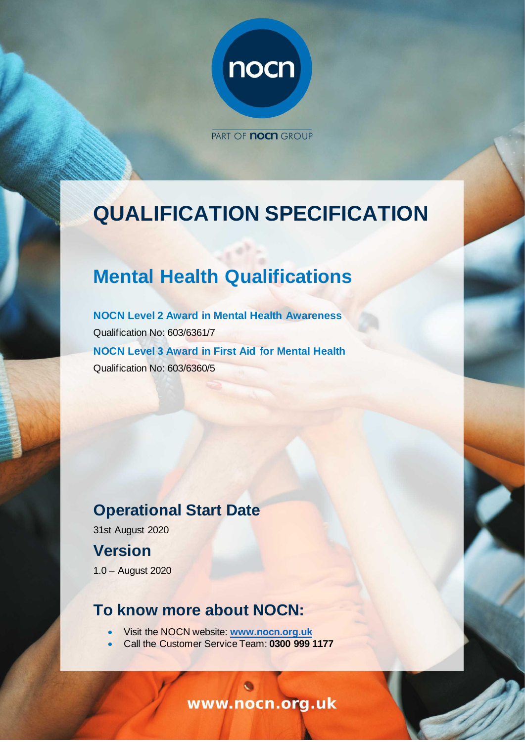

PART OF **noch** GROUP

# **QUALIFICATION SPECIFICATION**

# **Mental Health Qualifications**

**NOCN Level 2 Award in Mental Health Awareness** Qualification No: 603/6361/7 **NOCN Level 3 Award in First Aid for Mental Health** Qualification No: 603/6360/5

# **Operational Start Date**

31st August 2020

## **Version**

1.0 – August 2020

### **To know more about NOCN:**

- Visit the NOCN website: **[www.nocn.org.uk](https://www.nocn.org.uk/)**
- Call the Customer Service Team: **0300 999 1177**

www.nocn.org.uk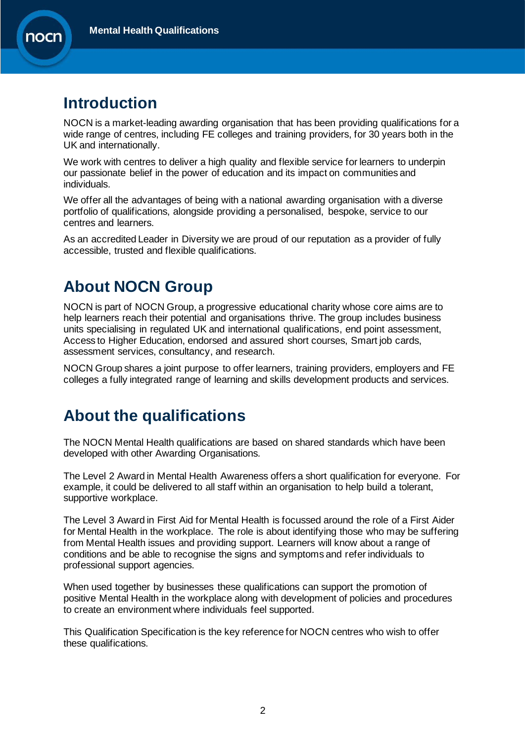

### **Introduction**

NOCN is a market-leading awarding organisation that has been providing qualifications for a wide range of centres, including FE colleges and training providers, for 30 years both in the UK and internationally.

We work with centres to deliver a high quality and flexible service for learners to underpin our passionate belief in the power of education and its impact on communities and individuals.

We offer all the advantages of being with a national awarding organisation with a diverse portfolio of qualifications, alongside providing a personalised, bespoke, service to our centres and learners.

As an accredited Leader in Diversity we are proud of our reputation as a provider of fully accessible, trusted and flexible qualifications.

## **About NOCN Group**

NOCN is part of [NOCN Group,](https://www.nocn.org.uk/about/nocn-group/) a progressive educational charity whose core aims are to help learners reach their potential and organisations thrive. The group includes business units specialising in regulated UK and international qualifications, end point assessment, Access to Higher Education, endorsed and assured short courses, Smart job cards, assessment services, consultancy, and research.

NOCN Group shares a joint purpose to offer learners, training providers, employers and FE colleges a fully integrated range of learning and skills development products and services.

# **About the qualifications**

The NOCN Mental Health qualifications are based on shared standards which have been developed with other Awarding Organisations*.* 

The Level 2 Award in Mental Health Awareness offers a short qualification for everyone. For example, it could be delivered to all staff within an organisation to help build a tolerant, supportive workplace.

The Level 3 Award in First Aid for Mental Health is focussed around the role of a First Aider for Mental Health in the workplace. The role is about identifying those who may be suffering from Mental Health issues and providing support. Learners will know about a range of conditions and be able to recognise the signs and symptoms and refer individuals to professional support agencies.

When used together by businesses these qualifications can support the promotion of positive Mental Health in the workplace along with development of policies and procedures to create an environment where individuals feel supported.

This Qualification Specification is the key reference for NOCN centres who wish to offer these qualifications.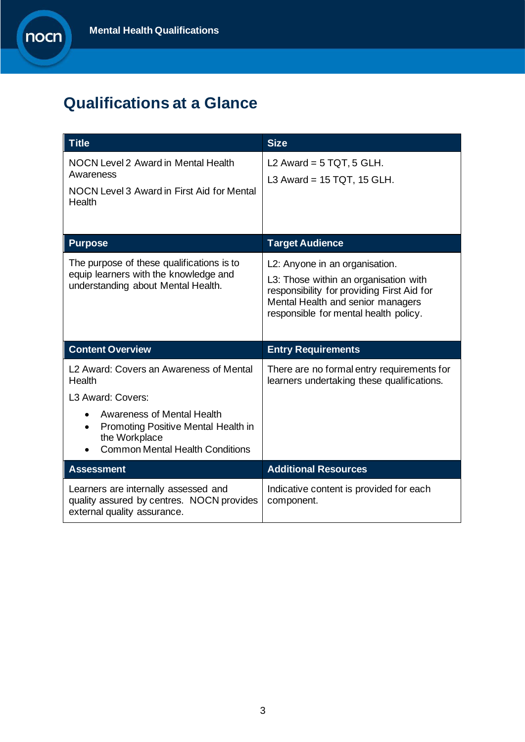# **Qualifications at a Glance**

| <b>Title</b>                                                                                                                                                                                                        | <b>Size</b>                                                                                                                                                                                         |
|---------------------------------------------------------------------------------------------------------------------------------------------------------------------------------------------------------------------|-----------------------------------------------------------------------------------------------------------------------------------------------------------------------------------------------------|
| <b>NOCN Level 2 Award in Mental Health</b><br>Awareness<br>NOCN Level 3 Award in First Aid for Mental<br>Health                                                                                                     | L2 Award = $5$ TQT, $5$ GLH.<br>L3 Award = $15$ TQT, 15 GLH.                                                                                                                                        |
| <b>Purpose</b>                                                                                                                                                                                                      | <b>Target Audience</b>                                                                                                                                                                              |
| The purpose of these qualifications is to<br>equip learners with the knowledge and<br>understanding about Mental Health.                                                                                            | L2: Anyone in an organisation.<br>L3: Those within an organisation with<br>responsibility for providing First Aid for<br>Mental Health and senior managers<br>responsible for mental health policy. |
| <b>Content Overview</b>                                                                                                                                                                                             | <b>Entry Requirements</b>                                                                                                                                                                           |
| L2 Award: Covers an Awareness of Mental<br>Health<br>L3 Award: Covers:<br>Awareness of Mental Health<br>$\bullet$<br>Promoting Positive Mental Health in<br>the Workplace<br><b>Common Mental Health Conditions</b> | There are no formal entry requirements for<br>learners undertaking these qualifications.                                                                                                            |
| <b>Assessment</b>                                                                                                                                                                                                   | <b>Additional Resources</b>                                                                                                                                                                         |
| Learners are internally assessed and<br>quality assured by centres. NOCN provides<br>external quality assurance.                                                                                                    | Indicative content is provided for each<br>component.                                                                                                                                               |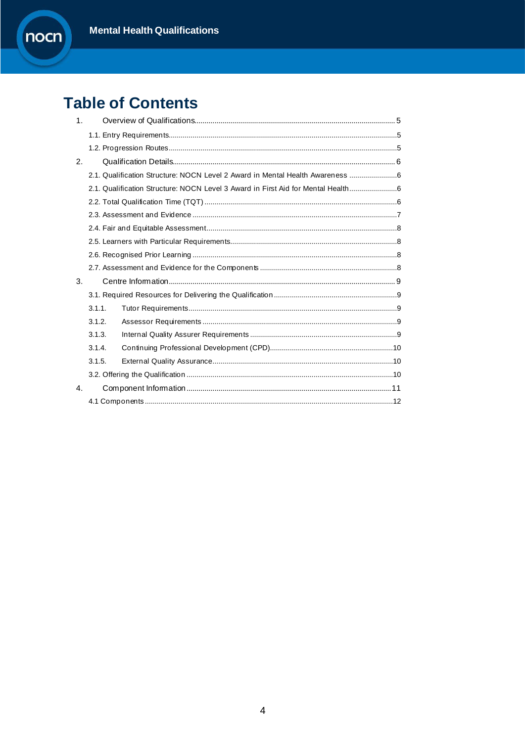

#### **Table of Contents**  $\mathbf{r}$

| 1 <sub>1</sub> |        |                                                                                 |  |  |  |  |  |  |
|----------------|--------|---------------------------------------------------------------------------------|--|--|--|--|--|--|
|                |        |                                                                                 |  |  |  |  |  |  |
|                |        |                                                                                 |  |  |  |  |  |  |
| 2.             |        |                                                                                 |  |  |  |  |  |  |
|                |        | 2.1. Qualification Structure: NOCN Level 2 Award in Mental Health Awareness 6   |  |  |  |  |  |  |
|                |        | 2.1. Qualification Structure: NOCN Level 3 Award in First Aid for Mental Health |  |  |  |  |  |  |
|                |        |                                                                                 |  |  |  |  |  |  |
|                |        |                                                                                 |  |  |  |  |  |  |
|                |        |                                                                                 |  |  |  |  |  |  |
|                |        |                                                                                 |  |  |  |  |  |  |
|                |        |                                                                                 |  |  |  |  |  |  |
|                |        |                                                                                 |  |  |  |  |  |  |
| 3.             |        |                                                                                 |  |  |  |  |  |  |
|                |        |                                                                                 |  |  |  |  |  |  |
|                | 3.1.1. |                                                                                 |  |  |  |  |  |  |
|                | 3.1.2. |                                                                                 |  |  |  |  |  |  |
|                | 3.1.3. |                                                                                 |  |  |  |  |  |  |
|                | 3.1.4. |                                                                                 |  |  |  |  |  |  |
| 3.1.5.         |        |                                                                                 |  |  |  |  |  |  |
|                |        |                                                                                 |  |  |  |  |  |  |
| $\mathbf{4}$ . |        |                                                                                 |  |  |  |  |  |  |
|                |        |                                                                                 |  |  |  |  |  |  |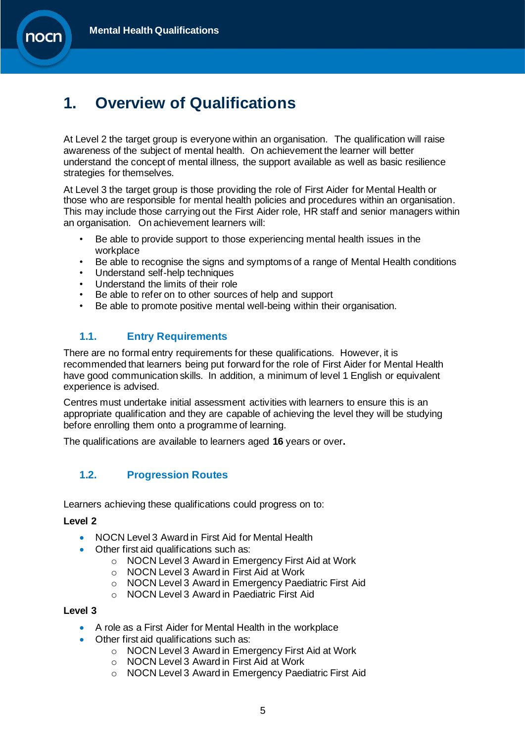

# <span id="page-4-0"></span>**1. Overview of Qualifications**

At Level 2 the target group is everyone within an organisation. The qualification will raise awareness of the subject of mental health. On achievement the learner will better understand the concept of mental illness, the support available as well as basic resilience strategies for themselves.

At Level 3 the target group is those providing the role of First Aider for Mental Health or those who are responsible for mental health policies and procedures within an organisation. This may include those carrying out the First Aider role, HR staff and senior managers within an organisation. On achievement learners will:

- Be able to provide support to those experiencing mental health issues in the workplace
- Be able to recognise the signs and symptoms of a range of Mental Health conditions
- Understand self-help techniques
- Understand the limits of their role
- Be able to refer on to other sources of help and support
- Be able to promote positive mental well-being within their organisation.

#### <span id="page-4-1"></span>**1.1. Entry Requirements**

There are no formal entry requirements for these qualifications. However, it is recommended that learners being put forward for the role of First Aider for Mental Health have good communication skills. In addition, a minimum of level 1 English or equivalent experience is advised.

Centres must undertake initial assessment activities with learners to ensure this is an appropriate qualification and they are capable of achieving the level they will be studying before enrolling them onto a programme of learning.

The qualifications are available to learners aged **16** years or over**.**

#### <span id="page-4-2"></span>**1.2. Progression Routes**

Learners achieving these qualifications could progress on to:

#### **Level 2**

- NOCN Level 3 Award in First Aid for Mental Health
- Other first aid qualifications such as:
	- o NOCN Level 3 Award in Emergency First Aid at Work
	- o NOCN Level 3 Award in First Aid at Work
	- o NOCN Level 3 Award in Emergency Paediatric First Aid
	- o NOCN Level 3 Award in Paediatric First Aid

#### **Level 3**

- A role as a First Aider for Mental Health in the workplace
- Other first aid qualifications such as:
	- o NOCN Level 3 Award in Emergency First Aid at Work
	- o NOCN Level 3 Award in First Aid at Work
	- o NOCN Level 3 Award in Emergency Paediatric First Aid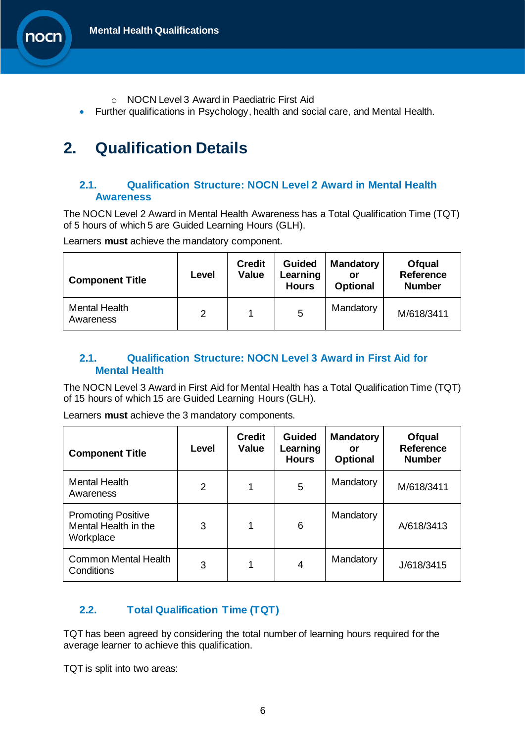

- o NOCN Level 3 Award in Paediatric First Aid
- Further qualifications in Psychology, health and social care, and Mental Health.

# <span id="page-5-0"></span>**2. Qualification Details**

#### <span id="page-5-1"></span>**2.1. Qualification Structure: NOCN Level 2 Award in Mental Health Awareness**

The NOCN Level 2 Award in Mental Health Awareness has a Total Qualification Time (TQT) of 5 hours of which 5 are Guided Learning Hours (GLH).

Learners **must** achieve the mandatory component.

| <b>Component Title</b>            | Level | <b>Credit</b><br><b>Value</b> | <b>Guided</b><br>Learning<br><b>Hours</b> | <b>Mandatory</b><br>or<br><b>Optional</b> | <b>Ofqual</b><br>Reference<br><b>Number</b> |
|-----------------------------------|-------|-------------------------------|-------------------------------------------|-------------------------------------------|---------------------------------------------|
| <b>Mental Health</b><br>Awareness | 2     |                               | 5                                         | Mandatory                                 | M/618/3411                                  |

#### <span id="page-5-2"></span>**2.1. Qualification Structure: NOCN Level 3 Award in First Aid for Mental Health**

The NOCN Level 3 Award in First Aid for Mental Health has a Total Qualification Time (TQT) of 15 hours of which 15 are Guided Learning Hours (GLH).

Learners **must** achieve the 3 mandatory components.

| <b>Component Title</b>                                         | Level          | <b>Credit</b><br><b>Value</b> | <b>Guided</b><br>Learning<br><b>Hours</b> | <b>Mandatory</b><br>or<br><b>Optional</b> | <b>Ofqual</b><br><b>Reference</b><br><b>Number</b> |
|----------------------------------------------------------------|----------------|-------------------------------|-------------------------------------------|-------------------------------------------|----------------------------------------------------|
| <b>Mental Health</b><br>Awareness                              | $\overline{2}$ |                               | 5                                         | Mandatory                                 | M/618/3411                                         |
| <b>Promoting Positive</b><br>Mental Health in the<br>Workplace | 3              | 1                             | 6                                         | Mandatory                                 | A/618/3413                                         |
| <b>Common Mental Health</b><br>Conditions                      | 3              |                               | 4                                         | Mandatory                                 | J/618/3415                                         |

#### <span id="page-5-3"></span>**2.2. Total Qualification Time (TQT)**

TQT has been agreed by considering the total number of learning hours required for the average learner to achieve this qualification.

TQT is split into two areas: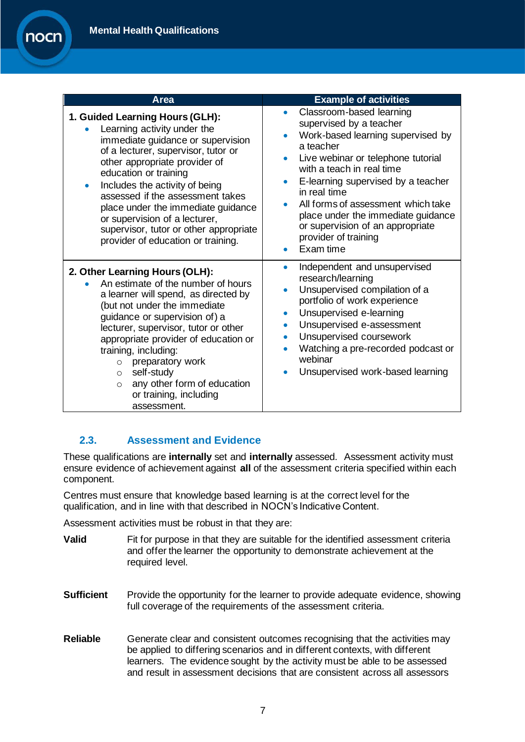| Area                                                                                                                                                                                                                                                                                                                                                                                                                              | <b>Example of activities</b>                                                                                                                                                                                                                                                                                                                                                                     |
|-----------------------------------------------------------------------------------------------------------------------------------------------------------------------------------------------------------------------------------------------------------------------------------------------------------------------------------------------------------------------------------------------------------------------------------|--------------------------------------------------------------------------------------------------------------------------------------------------------------------------------------------------------------------------------------------------------------------------------------------------------------------------------------------------------------------------------------------------|
| 1. Guided Learning Hours (GLH):<br>Learning activity under the<br>immediate guidance or supervision<br>of a lecturer, supervisor, tutor or<br>other appropriate provider of<br>education or training<br>Includes the activity of being<br>assessed if the assessment takes<br>place under the immediate guidance<br>or supervision of a lecturer,<br>supervisor, tutor or other appropriate<br>provider of education or training. | Classroom-based learning<br>supervised by a teacher<br>Work-based learning supervised by<br>a teacher<br>Live webinar or telephone tutorial<br>$\bullet$<br>with a teach in real time<br>E-learning supervised by a teacher<br>in real time<br>All forms of assessment which take<br>place under the immediate guidance<br>or supervision of an appropriate<br>provider of training<br>Exam time |
| 2. Other Learning Hours (OLH):<br>An estimate of the number of hours<br>a learner will spend, as directed by<br>(but not under the immediate<br>guidance or supervision of) a<br>lecturer, supervisor, tutor or other<br>appropriate provider of education or<br>training, including:<br>preparatory work<br>$\circ$<br>self-study<br>$\circ$<br>any other form of education<br>$\Omega$<br>or training, including<br>assessment. | Independent and unsupervised<br>research/learning<br>Unsupervised compilation of a<br>portfolio of work experience<br>Unsupervised e-learning<br>$\bullet$<br>Unsupervised e-assessment<br>$\bullet$<br>Unsupervised coursework<br>$\bullet$<br>Watching a pre-recorded podcast or<br>webinar<br>Unsupervised work-based learning                                                                |

#### <span id="page-6-0"></span>**2.3. Assessment and Evidence**

These qualifications are **internally** set and **internally** assessed. Assessment activity must ensure evidence of achievement against **all** of the assessment criteria specified within each component.

Centres must ensure that knowledge based learning is at the correct level for the qualification, and in line with that described in NOCN's Indicative Content.

Assessment activities must be robust in that they are:

- **Valid** Fit for purpose in that they are suitable for the identified assessment criteria and offer the learner the opportunity to demonstrate achievement at the required level.
- **Sufficient** Provide the opportunity for the learner to provide adequate evidence, showing full coverage of the requirements of the assessment criteria.
- **Reliable** Generate clear and consistent outcomes recognising that the activities may be applied to differing scenarios and in different contexts, with different learners. The evidence sought by the activity must be able to be assessed and result in assessment decisions that are consistent across all assessors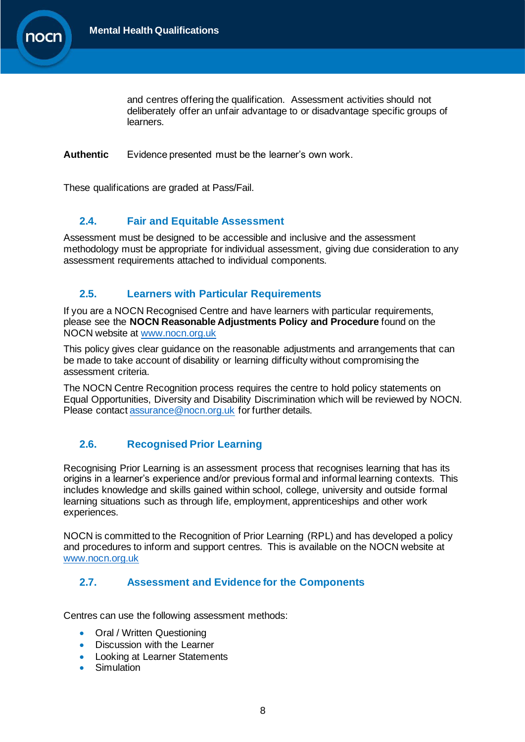

and centres offering the qualification. Assessment activities should not deliberately offer an unfair advantage to or disadvantage specific groups of learners.

**Authentic** Evidence presented must be the learner's own work.

These qualifications are graded at Pass/Fail.

#### <span id="page-7-0"></span>**2.4. Fair and Equitable Assessment**

Assessment must be designed to be accessible and inclusive and the assessment methodology must be appropriate for individual assessment, giving due consideration to any assessment requirements attached to individual components.

#### <span id="page-7-1"></span>**2.5. Learners with Particular Requirements**

If you are a NOCN Recognised Centre and have learners with particular requirements, please see the **NOCN Reasonable Adjustments Policy and Procedure** found on the NOCN website at [www.nocn.org.uk](http://www.nocn.org.uk/)

This policy gives clear guidance on the reasonable adjustments and arrangements that can be made to take account of disability or learning difficulty without compromising the assessment criteria.

The NOCN Centre Recognition process requires the centre to hold policy statements on Equal Opportunities, Diversity and Disability Discrimination which will be reviewed by NOCN. Please contact [assurance@nocn.org.uk](mailto:assurance@nocn.org.uk) for further details.

#### <span id="page-7-2"></span>**2.6. Recognised Prior Learning**

Recognising Prior Learning is an assessment process that recognises learning that has its origins in a learner's experience and/or previous formal and informal learning contexts. This includes knowledge and skills gained within school, college, university and outside formal learning situations such as through life, employment, apprenticeships and other work experiences.

NOCN is committed to the Recognition of Prior Learning (RPL) and has developed a policy and procedures to inform and support centres. This is available on the NOCN website at [www.nocn.org.uk](http://www.nocn.org.uk/)

#### <span id="page-7-3"></span>**2.7. Assessment and Evidence for the Components**

Centres can use the following assessment methods:

- **Oral / Written Questioning**
- Discussion with the Learner
- Looking at Learner Statements
- **Simulation**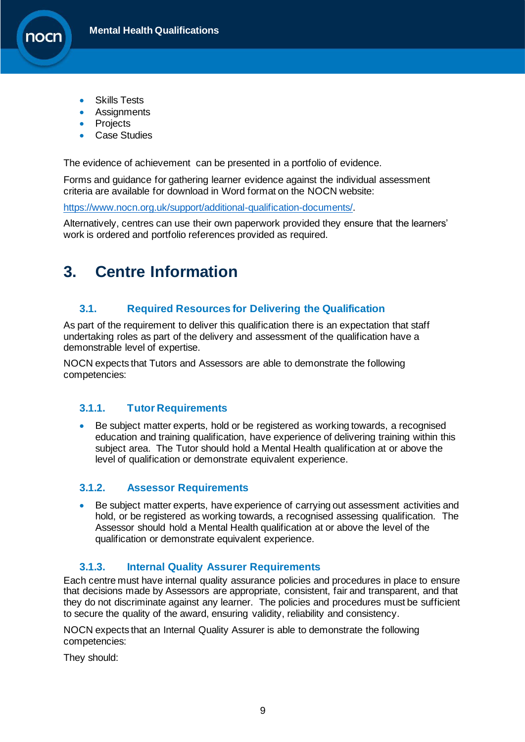

- **Skills Tests**
- **Assignments**
- **Projects**
- **Case Studies**

The evidence of achievement can be presented in a portfolio of evidence.

Forms and guidance for gathering learner evidence against the individual assessment criteria are available for download in Word format on the NOCN website:

[https://www.nocn.org.uk/support/additional-qualification-documents/.](https://www.nocn.org.uk/support/additional-qualification-documents/)

Alternatively, centres can use their own paperwork provided they ensure that the learners' work is ordered and portfolio references provided as required.

# <span id="page-8-0"></span>**3. Centre Information**

#### <span id="page-8-1"></span>**3.1. Required Resources for Delivering the Qualification**

As part of the requirement to deliver this qualification there is an expectation that staff undertaking roles as part of the delivery and assessment of the qualification have a demonstrable level of expertise.

NOCN expects that Tutors and Assessors are able to demonstrate the following competencies:

#### <span id="page-8-2"></span>**3.1.1. Tutor Requirements**

• Be subject matter experts, hold or be registered as working towards, a recognised education and training qualification, have experience of delivering training within this subject area. The Tutor should hold a Mental Health qualification at or above the level of qualification or demonstrate equivalent experience.

#### <span id="page-8-3"></span>**3.1.2. Assessor Requirements**

• Be subject matter experts, have experience of carrying out assessment activities and hold, or be registered as working towards, a recognised assessing qualification. The Assessor should hold a Mental Health qualification at or above the level of the qualification or demonstrate equivalent experience.

#### **3.1.3. Internal Quality Assurer Requirements**

<span id="page-8-4"></span>Each centre must have internal quality assurance policies and procedures in place to ensure that decisions made by Assessors are appropriate, consistent, fair and transparent, and that they do not discriminate against any learner. The policies and procedures must be sufficient to secure the quality of the award, ensuring validity, reliability and consistency.

NOCN expects that an Internal Quality Assurer is able to demonstrate the following competencies:

They should: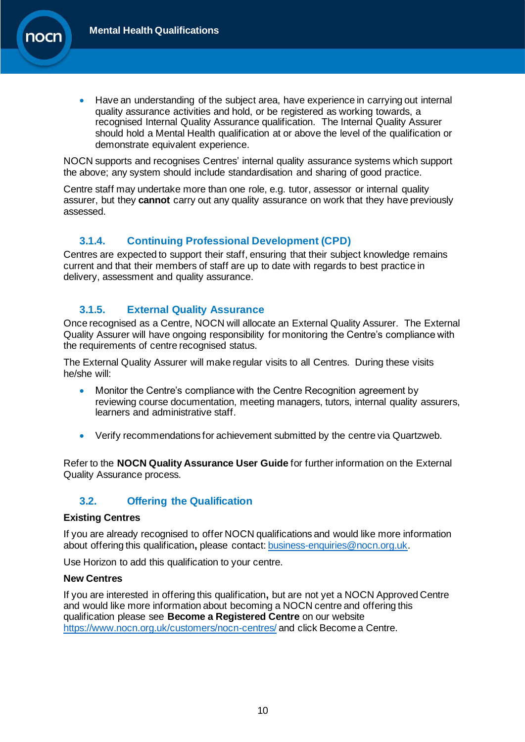• Have an understanding of the subject area, have experience in carrying out internal quality assurance activities and hold, or be registered as working towards, a recognised Internal Quality Assurance qualification. The Internal Quality Assurer should hold a Mental Health qualification at or above the level of the qualification or demonstrate equivalent experience.

NOCN supports and recognises Centres' internal quality assurance systems which support the above; any system should include standardisation and sharing of good practice.

Centre staff may undertake more than one role, e.g. tutor, assessor or internal quality assurer, but they **cannot** carry out any quality assurance on work that they have previously assessed.

#### **3.1.4. Continuing Professional Development (CPD)**

<span id="page-9-0"></span>Centres are expected to support their staff, ensuring that their subject knowledge remains current and that their members of staff are up to date with regards to best practice in delivery, assessment and quality assurance.

#### **3.1.5. External Quality Assurance**

<span id="page-9-1"></span>Once recognised as a Centre, NOCN will allocate an External Quality Assurer. The External Quality Assurer will have ongoing responsibility for monitoring the Centre's compliance with the requirements of centre recognised status.

The External Quality Assurer will make regular visits to all Centres. During these visits he/she will:

- Monitor the Centre's compliance with the Centre Recognition agreement by reviewing course documentation, meeting managers, tutors, internal quality assurers, learners and administrative staff.
- Verify recommendations for achievement submitted by the centre via Quartzweb.

Refer to the **NOCN Quality Assurance User Guide** for further information on the External Quality Assurance process.

#### <span id="page-9-2"></span>**3.2. Offering the Qualification**

#### **Existing Centres**

If you are already recognised to offer NOCN qualifications and would like more information about offering this qualification**,** please contact: [business-enquiries@nocn.org.uk.](mailto:business-enquiries@nocn.org.uk) 

Use Horizon to add this qualification to your centre.

#### **New Centres**

If you are interested in offering this qualification**,** but are not yet a NOCN Approved Centre and would like more information about becoming a NOCN centre and offering this qualification please see **Become a Registered Centre** on our website <https://www.nocn.org.uk/customers/nocn-centres/> and click Become a Centre.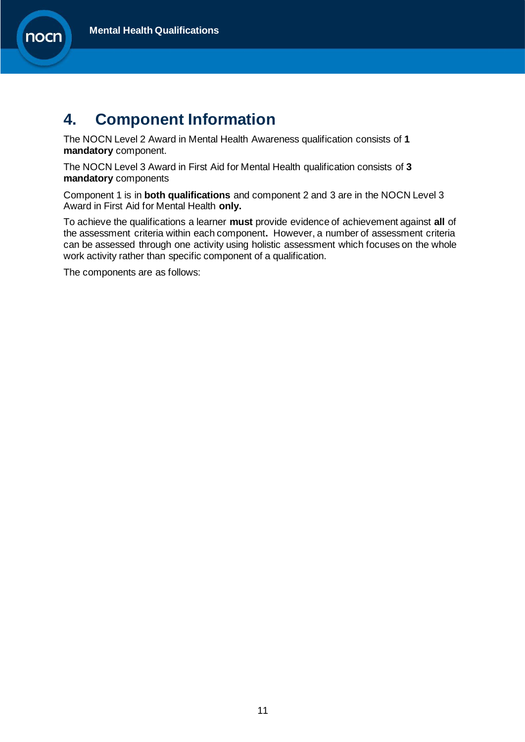

### <span id="page-10-0"></span>**4. Component Information**

The NOCN Level 2 Award in Mental Health Awareness qualification consists of **1 mandatory** component.

The NOCN Level 3 Award in First Aid for Mental Health qualification consists of **3 mandatory** components

Component 1 is in **both qualifications** and component 2 and 3 are in the NOCN Level 3 Award in First Aid for Mental Health **only.**

To achieve the qualifications a learner **must** provide evidence of achievement against **all** of the assessment criteria within each component**.** However, a number of assessment criteria can be assessed through one activity using holistic assessment which focuses on the whole work activity rather than specific component of a qualification.

The components are as follows: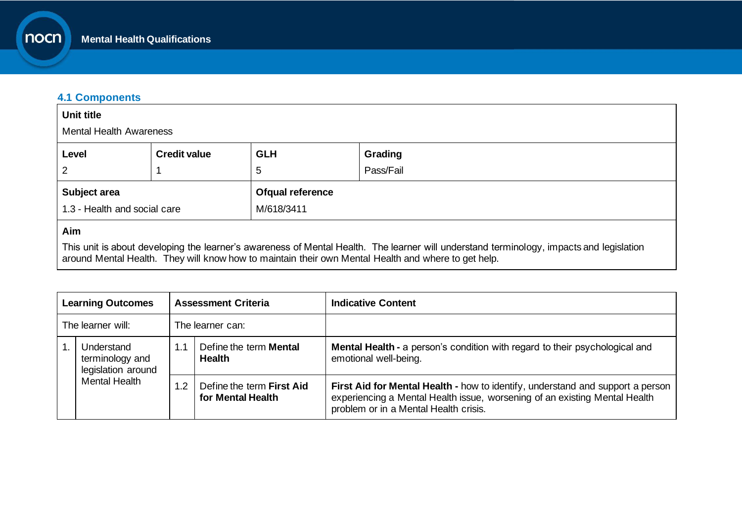#### **4.1 Components**

nocn

| <b>Unit title</b>            |                                |                  |           |  |  |  |
|------------------------------|--------------------------------|------------------|-----------|--|--|--|
|                              | <b>Mental Health Awareness</b> |                  |           |  |  |  |
| Level                        | <b>Credit value</b>            | <b>GLH</b>       | Grading   |  |  |  |
| $\overline{2}$               |                                | 5                | Pass/Fail |  |  |  |
| Subject area                 |                                | Ofqual reference |           |  |  |  |
| 1.3 - Health and social care |                                | M/618/3411       |           |  |  |  |
| Aim                          |                                |                  |           |  |  |  |

This unit is about developing the learner's awareness of Mental Health. The learner will understand terminology, impacts and legislation around Mental Health. They will know how to maintain their own Mental Health and where to get help.

<span id="page-11-0"></span>

| <b>Assessment Criteria</b><br><b>Learning Outcomes</b> |                                                                             |     | <b>Indicative Content</b>                      |                                                                                                                                                                                                       |
|--------------------------------------------------------|-----------------------------------------------------------------------------|-----|------------------------------------------------|-------------------------------------------------------------------------------------------------------------------------------------------------------------------------------------------------------|
| The learner will:<br>The learner can:                  |                                                                             |     |                                                |                                                                                                                                                                                                       |
|                                                        | Understand<br>terminology and<br>legislation around<br><b>Mental Health</b> | 1.1 | Define the term <b>Mental</b><br><b>Health</b> | <b>Mental Health - a person's condition with regard to their psychological and</b><br>emotional well-being.                                                                                           |
|                                                        |                                                                             | 1.2 | Define the term First Aid<br>for Mental Health | First Aid for Mental Health - how to identify, understand and support a person<br>experiencing a Mental Health issue, worsening of an existing Mental Health<br>problem or in a Mental Health crisis. |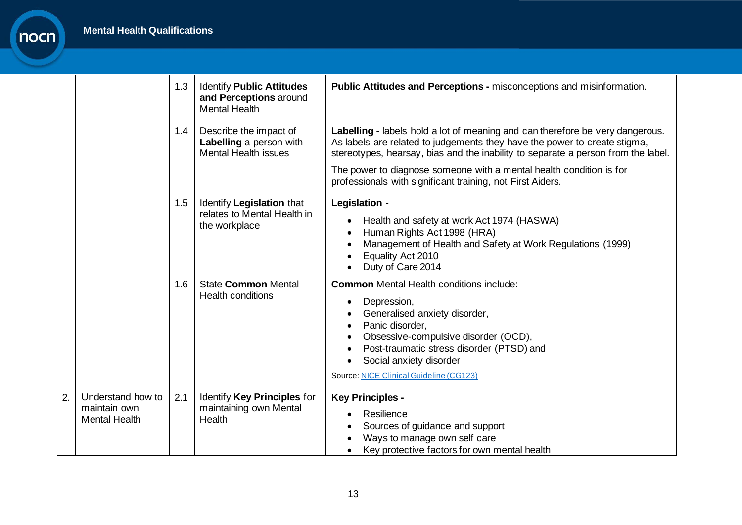|                |                                                           | 1.3 | <b>Identify Public Attitudes</b><br>and Perceptions around<br><b>Mental Health</b> | <b>Public Attitudes and Perceptions - misconceptions and misinformation.</b>                                                                                                                                                                                                                                                                                                         |
|----------------|-----------------------------------------------------------|-----|------------------------------------------------------------------------------------|--------------------------------------------------------------------------------------------------------------------------------------------------------------------------------------------------------------------------------------------------------------------------------------------------------------------------------------------------------------------------------------|
|                |                                                           | 1.4 | Describe the impact of<br>Labelling a person with<br><b>Mental Health issues</b>   | Labelling - labels hold a lot of meaning and can therefore be very dangerous.<br>As labels are related to judgements they have the power to create stigma,<br>stereotypes, hearsay, bias and the inability to separate a person from the label.<br>The power to diagnose someone with a mental health condition is for<br>professionals with significant training, not First Aiders. |
|                |                                                           | 1.5 | Identify Legislation that<br>relates to Mental Health in<br>the workplace          | Legislation -<br>Health and safety at work Act 1974 (HASWA)<br>Human Rights Act 1998 (HRA)<br>Management of Health and Safety at Work Regulations (1999)<br>Equality Act 2010<br>Duty of Care 2014                                                                                                                                                                                   |
|                |                                                           | 1.6 | <b>State Common Mental</b><br><b>Health conditions</b>                             | <b>Common</b> Mental Health conditions include:<br>Depression,<br>$\bullet$<br>Generalised anxiety disorder,<br>Panic disorder,<br>Obsessive-compulsive disorder (OCD),<br>Post-traumatic stress disorder (PTSD) and<br>$\bullet$<br>Social anxiety disorder<br><b>Source: NICE Clinical Guideline (CG123)</b>                                                                       |
| $\overline{2}$ | Understand how to<br>maintain own<br><b>Mental Health</b> | 2.1 | Identify Key Principles for<br>maintaining own Mental<br>Health                    | <b>Key Principles -</b><br>Resilience<br>$\bullet$<br>Sources of guidance and support<br>Ways to manage own self care<br>Key protective factors for own mental health                                                                                                                                                                                                                |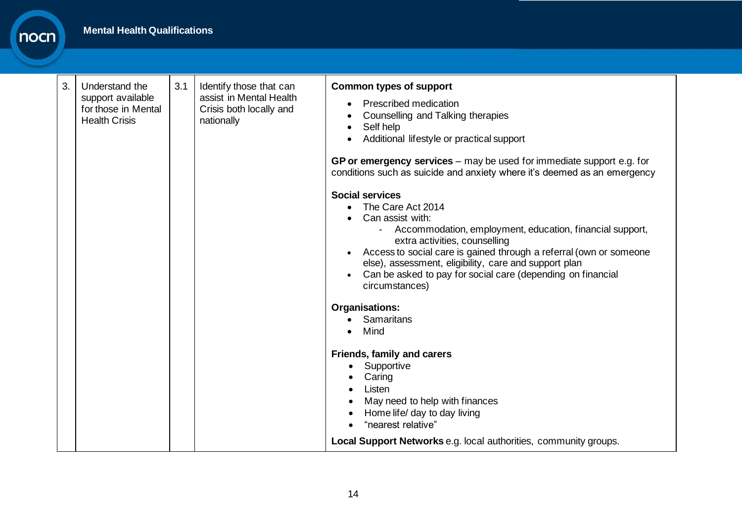| 3. | Understand the<br>support available<br>for those in Mental<br><b>Health Crisis</b> | 3.1 | Identify those that can<br>assist in Mental Health<br>Crisis both locally and<br>nationally | <b>Common types of support</b><br><b>Prescribed medication</b><br>Counselling and Talking therapies<br>Self help<br>Additional lifestyle or practical support                                                                                                                                                                                                                |
|----|------------------------------------------------------------------------------------|-----|---------------------------------------------------------------------------------------------|------------------------------------------------------------------------------------------------------------------------------------------------------------------------------------------------------------------------------------------------------------------------------------------------------------------------------------------------------------------------------|
|    |                                                                                    |     |                                                                                             | GP or emergency services $-$ may be used for immediate support e.g. for<br>conditions such as suicide and anxiety where it's deemed as an emergency                                                                                                                                                                                                                          |
|    |                                                                                    |     |                                                                                             | <b>Social services</b><br>The Care Act 2014<br>Can assist with:<br>Accommodation, employment, education, financial support,<br>extra activities, counselling<br>Access to social care is gained through a referral (own or someone<br>else), assessment, eligibility, care and support plan<br>Can be asked to pay for social care (depending on financial<br>circumstances) |
|    |                                                                                    |     |                                                                                             | <b>Organisations:</b><br>Samaritans<br>Mind                                                                                                                                                                                                                                                                                                                                  |
|    |                                                                                    |     |                                                                                             | <b>Friends, family and carers</b><br>Supportive<br>Caring<br>Listen<br>May need to help with finances<br>Home life/ day to day living<br>"nearest relative"                                                                                                                                                                                                                  |
|    |                                                                                    |     |                                                                                             | Local Support Networks e.g. local authorities, community groups.                                                                                                                                                                                                                                                                                                             |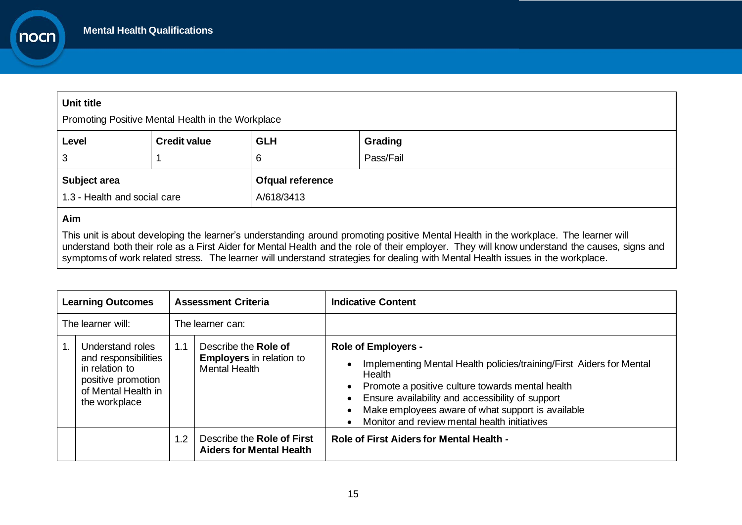#### **Unit title**

nocn

Promoting Positive Mental Health in the Workplace

| Level                                        | <b>Credit value</b> | <b>GLH</b>                     | Grading   |
|----------------------------------------------|---------------------|--------------------------------|-----------|
| 3                                            |                     | 6                              | Pass/Fail |
| Subject area<br>1.3 - Health and social care |                     | Ofqual reference<br>A/618/3413 |           |

#### **Aim**

This unit is about developing the learner's understanding around promoting positive Mental Health in the workplace. The learner will understand both their role as a First Aider for Mental Health and the role of their employer. They will know understand the causes, signs and symptoms of work related stress. The learner will understand strategies for dealing with Mental Health issues in the workplace.

| <b>Learning Outcomes</b><br><b>Assessment Criteria</b> |                                                                                                                          |     | <b>Indicative Content</b>                                                       |                                                                                                                                                                                                                                                                                                                                                                                 |
|--------------------------------------------------------|--------------------------------------------------------------------------------------------------------------------------|-----|---------------------------------------------------------------------------------|---------------------------------------------------------------------------------------------------------------------------------------------------------------------------------------------------------------------------------------------------------------------------------------------------------------------------------------------------------------------------------|
|                                                        | The learner will:                                                                                                        |     | The learner can:                                                                |                                                                                                                                                                                                                                                                                                                                                                                 |
|                                                        | Understand roles<br>and responsibilities<br>in relation to<br>positive promotion<br>of Mental Health in<br>the workplace | 1.1 | Describe the Role of<br><b>Employers</b> in relation to<br><b>Mental Health</b> | <b>Role of Employers -</b><br>Implementing Mental Health policies/training/First Aiders for Mental<br>$\bullet$<br>Health<br>• Promote a positive culture towards mental health<br>Ensure availability and accessibility of support<br>$\bullet$<br>Make employees aware of what support is available<br>$\bullet$<br>Monitor and review mental health initiatives<br>$\bullet$ |
|                                                        |                                                                                                                          | 1.2 | Describe the Role of First<br><b>Aiders for Mental Health</b>                   | Role of First Aiders for Mental Health -                                                                                                                                                                                                                                                                                                                                        |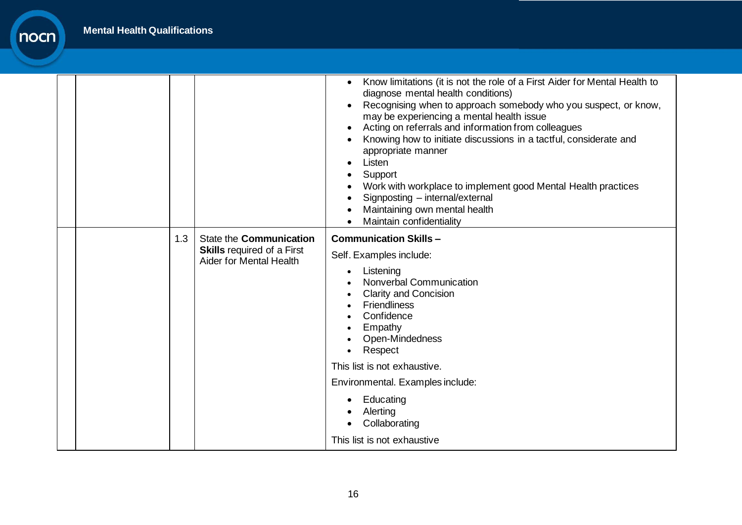|     |                                                                                                       | Know limitations (it is not the role of a First Aider for Mental Health to<br>diagnose mental health conditions)<br>Recognising when to approach somebody who you suspect, or know,<br>may be experiencing a mental health issue<br>Acting on referrals and information from colleagues<br>Knowing how to initiate discussions in a tactful, considerate and<br>appropriate manner<br>Listen<br>Support<br>Work with workplace to implement good Mental Health practices<br>Signposting - internal/external<br>Maintaining own mental health<br>Maintain confidentiality |
|-----|-------------------------------------------------------------------------------------------------------|--------------------------------------------------------------------------------------------------------------------------------------------------------------------------------------------------------------------------------------------------------------------------------------------------------------------------------------------------------------------------------------------------------------------------------------------------------------------------------------------------------------------------------------------------------------------------|
| 1.3 | State the <b>Communication</b><br><b>Skills</b> required of a First<br><b>Aider for Mental Health</b> | <b>Communication Skills -</b><br>Self. Examples include:<br>Listening<br>Nonverbal Communication<br><b>Clarity and Concision</b><br><b>Friendliness</b><br>Confidence<br>Empathy<br>Open-Mindedness<br>Respect<br>This list is not exhaustive.<br>Environmental. Examples include:<br>Educating<br>Alerting<br>Collaborating<br>This list is not exhaustive                                                                                                                                                                                                              |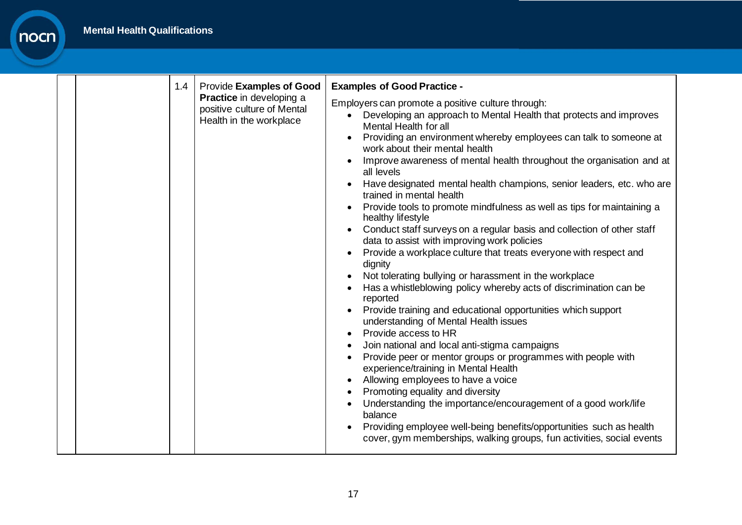| 1.4 | Provide Examples of Good                                                                 | <b>Examples of Good Practice -</b>                                                                                                                                                                                                                                                                                                                                                                                                                                                                                                                                                                                                                                                                                                                                                                                                                                                                                                                                                                                                                                                                                                                                                                                                                                                                                                                                                                                                                                                                      |
|-----|------------------------------------------------------------------------------------------|---------------------------------------------------------------------------------------------------------------------------------------------------------------------------------------------------------------------------------------------------------------------------------------------------------------------------------------------------------------------------------------------------------------------------------------------------------------------------------------------------------------------------------------------------------------------------------------------------------------------------------------------------------------------------------------------------------------------------------------------------------------------------------------------------------------------------------------------------------------------------------------------------------------------------------------------------------------------------------------------------------------------------------------------------------------------------------------------------------------------------------------------------------------------------------------------------------------------------------------------------------------------------------------------------------------------------------------------------------------------------------------------------------------------------------------------------------------------------------------------------------|
|     | <b>Practice</b> in developing a<br>positive culture of Mental<br>Health in the workplace | Employers can promote a positive culture through:<br>Developing an approach to Mental Health that protects and improves<br>Mental Health for all<br>Providing an environment whereby employees can talk to someone at<br>work about their mental health<br>Improve awareness of mental health throughout the organisation and at<br>all levels<br>Have designated mental health champions, senior leaders, etc. who are<br>trained in mental health<br>Provide tools to promote mindfulness as well as tips for maintaining a<br>healthy lifestyle<br>Conduct staff surveys on a regular basis and collection of other staff<br>data to assist with improving work policies<br>Provide a workplace culture that treats everyone with respect and<br>dignity<br>Not tolerating bullying or harassment in the workplace<br>Has a whistleblowing policy whereby acts of discrimination can be<br>reported<br>Provide training and educational opportunities which support<br>understanding of Mental Health issues<br>Provide access to HR<br>Join national and local anti-stigma campaigns<br>Provide peer or mentor groups or programmes with people with<br>experience/training in Mental Health<br>Allowing employees to have a voice<br>Promoting equality and diversity<br>Understanding the importance/encouragement of a good work/life<br>balance<br>Providing employee well-being benefits/opportunities such as health<br>cover, gym memberships, walking groups, fun activities, social events |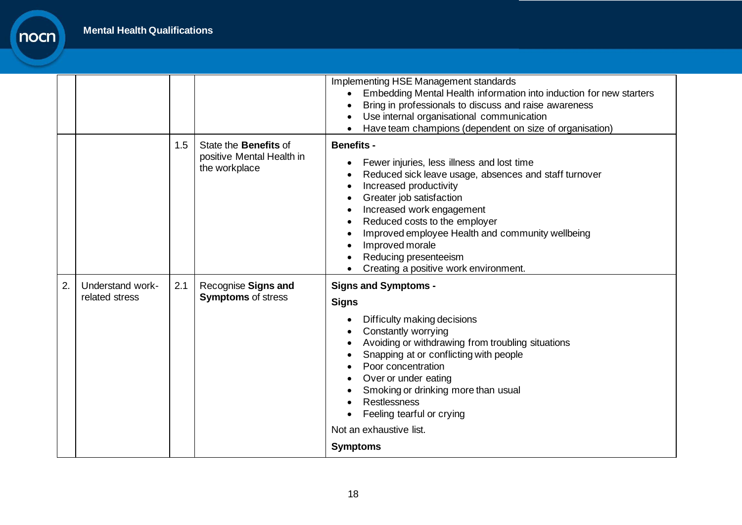|    |                                    |     |                                                                            | Implementing HSE Management standards<br>Embedding Mental Health information into induction for new starters<br>Bring in professionals to discuss and raise awareness<br>$\bullet$<br>Use internal organisational communication<br>$\bullet$<br>Have team champions (dependent on size of organisation)<br>$\bullet$                                                                                                                                                                  |
|----|------------------------------------|-----|----------------------------------------------------------------------------|---------------------------------------------------------------------------------------------------------------------------------------------------------------------------------------------------------------------------------------------------------------------------------------------------------------------------------------------------------------------------------------------------------------------------------------------------------------------------------------|
|    |                                    | 1.5 | State the <b>Benefits</b> of<br>positive Mental Health in<br>the workplace | <b>Benefits -</b><br>Fewer injuries, less illness and lost time<br>$\bullet$<br>Reduced sick leave usage, absences and staff turnover<br>$\bullet$<br>Increased productivity<br>$\bullet$<br>Greater job satisfaction<br>٠<br>Increased work engagement<br>$\bullet$<br>Reduced costs to the employer<br>$\bullet$<br>Improved employee Health and community wellbeing<br>$\bullet$<br>Improved morale<br>$\bullet$<br>Reducing presenteeism<br>Creating a positive work environment. |
| 2. | Understand work-<br>related stress | 2.1 | Recognise Signs and<br><b>Symptoms of stress</b>                           | <b>Signs and Symptoms -</b><br><b>Signs</b><br>Difficulty making decisions<br>$\bullet$<br>Constantly worrying<br>Avoiding or withdrawing from troubling situations<br>٠<br>Snapping at or conflicting with people<br>Poor concentration<br>Over or under eating<br>Smoking or drinking more than usual<br>Restlessness<br>Feeling tearful or crying<br>Not an exhaustive list.                                                                                                       |
|    |                                    |     |                                                                            | <b>Symptoms</b>                                                                                                                                                                                                                                                                                                                                                                                                                                                                       |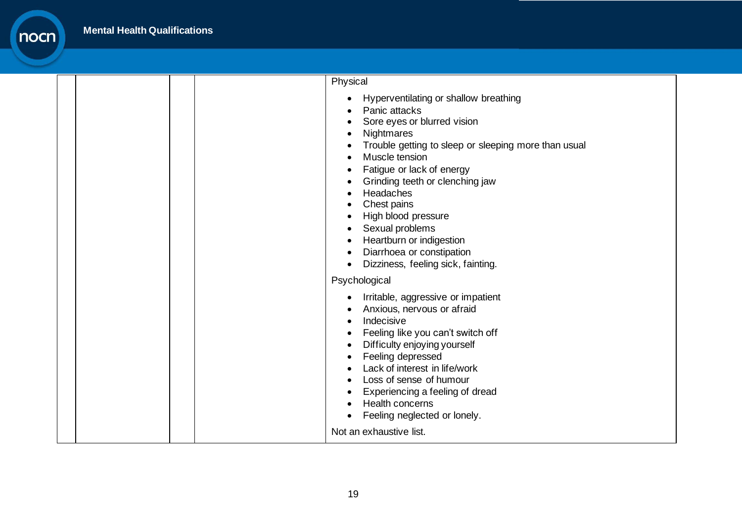|  | Physical                                                                                                                                                                                                                                                                                                                                                                                                           |
|--|--------------------------------------------------------------------------------------------------------------------------------------------------------------------------------------------------------------------------------------------------------------------------------------------------------------------------------------------------------------------------------------------------------------------|
|  | Hyperventilating or shallow breathing<br>Panic attacks<br>Sore eyes or blurred vision<br>Nightmares<br>Trouble getting to sleep or sleeping more than usual<br>Muscle tension<br>Fatigue or lack of energy<br>Grinding teeth or clenching jaw<br>Headaches<br>Chest pains<br>High blood pressure<br>Sexual problems<br>Heartburn or indigestion<br>Diarrhoea or constipation<br>Dizziness, feeling sick, fainting. |
|  | Psychological                                                                                                                                                                                                                                                                                                                                                                                                      |
|  | Irritable, aggressive or impatient<br>Anxious, nervous or afraid<br>Indecisive<br>Feeling like you can't switch off<br>Difficulty enjoying yourself<br>Feeling depressed<br>Lack of interest in life/work<br>Loss of sense of humour<br>Experiencing a feeling of dread<br>Health concerns<br>Feeling neglected or lonely.                                                                                         |
|  | Not an exhaustive list.                                                                                                                                                                                                                                                                                                                                                                                            |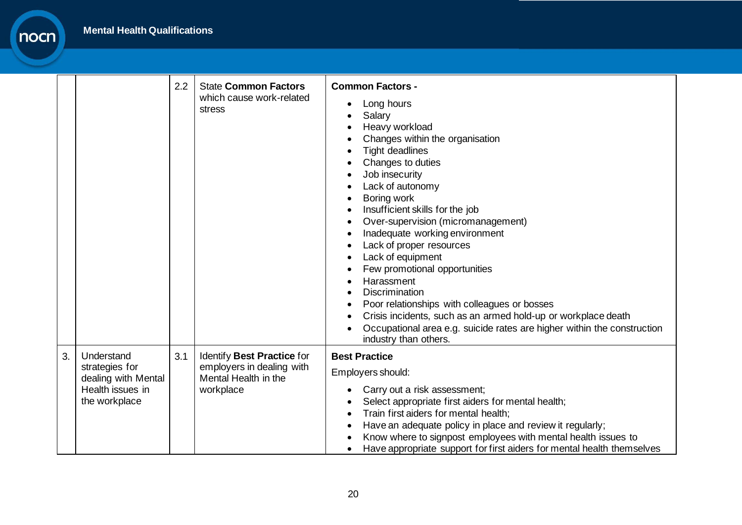nocn

|    |                                                                                          | 2.2 | <b>State Common Factors</b><br>which cause work-related<br>stress                            | <b>Common Factors -</b><br>Long hours<br>Salary<br>Heavy workload<br>Changes within the organisation<br><b>Tight deadlines</b><br>Changes to duties<br>Job insecurity<br>Lack of autonomy<br>Boring work<br>Insufficient skills for the job<br>Over-supervision (micromanagement)<br>Inadequate working environment<br>Lack of proper resources<br>Lack of equipment<br>Few promotional opportunities<br>Harassment<br><b>Discrimination</b><br>Poor relationships with colleagues or bosses<br>Crisis incidents, such as an armed hold-up or workplace death<br>Occupational area e.g. suicide rates are higher within the construction<br>industry than others. |
|----|------------------------------------------------------------------------------------------|-----|----------------------------------------------------------------------------------------------|-------------------------------------------------------------------------------------------------------------------------------------------------------------------------------------------------------------------------------------------------------------------------------------------------------------------------------------------------------------------------------------------------------------------------------------------------------------------------------------------------------------------------------------------------------------------------------------------------------------------------------------------------------------------|
| 3. | Understand<br>strategies for<br>dealing with Mental<br>Health issues in<br>the workplace | 3.1 | Identify Best Practice for<br>employers in dealing with<br>Mental Health in the<br>workplace | <b>Best Practice</b><br>Employers should:<br>Carry out a risk assessment;<br>Select appropriate first aiders for mental health;<br>Train first aiders for mental health;<br>Have an adequate policy in place and review it regularly;<br>Know where to signpost employees with mental health issues to<br>Have appropriate support for first aiders for mental health themselves                                                                                                                                                                                                                                                                                  |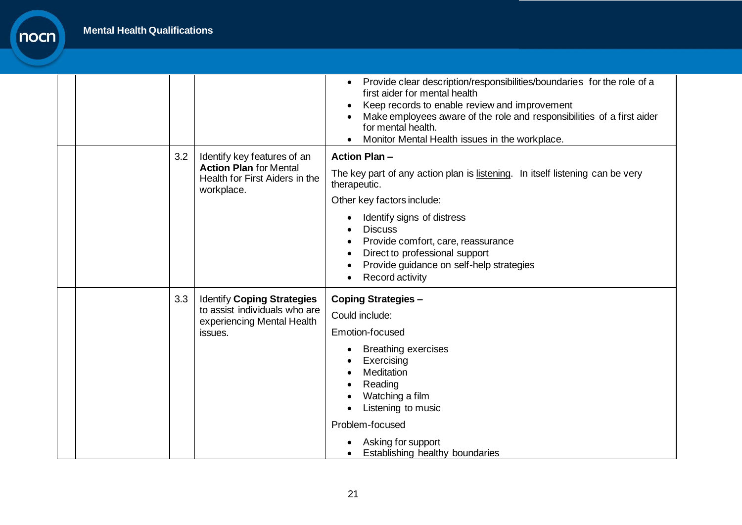|  |     |                                                                                                              | Provide clear description/responsibilities/boundaries for the role of a<br>$\bullet$<br>first aider for mental health<br>Keep records to enable review and improvement<br>Make employees aware of the role and responsibilities of a first aider<br>for mental health.<br>Monitor Mental Health issues in the workplace.                  |
|--|-----|--------------------------------------------------------------------------------------------------------------|-------------------------------------------------------------------------------------------------------------------------------------------------------------------------------------------------------------------------------------------------------------------------------------------------------------------------------------------|
|  | 3.2 | Identify key features of an<br><b>Action Plan for Mental</b><br>Health for First Aiders in the<br>workplace. | <b>Action Plan-</b><br>The key part of any action plan is listening. In itself listening can be very<br>therapeutic.<br>Other key factors include:<br>Identify signs of distress<br><b>Discuss</b><br>Provide comfort, care, reassurance<br>Direct to professional support<br>Provide guidance on self-help strategies<br>Record activity |
|  | 3.3 | <b>Identify Coping Strategies</b><br>to assist individuals who are<br>experiencing Mental Health<br>issues.  | <b>Coping Strategies -</b><br>Could include:<br>Emotion-focused<br><b>Breathing exercises</b><br>Exercising<br>Meditation<br>Reading<br>Watching a film<br>Listening to music<br>Problem-focused<br>Asking for support<br>Establishing healthy boundaries                                                                                 |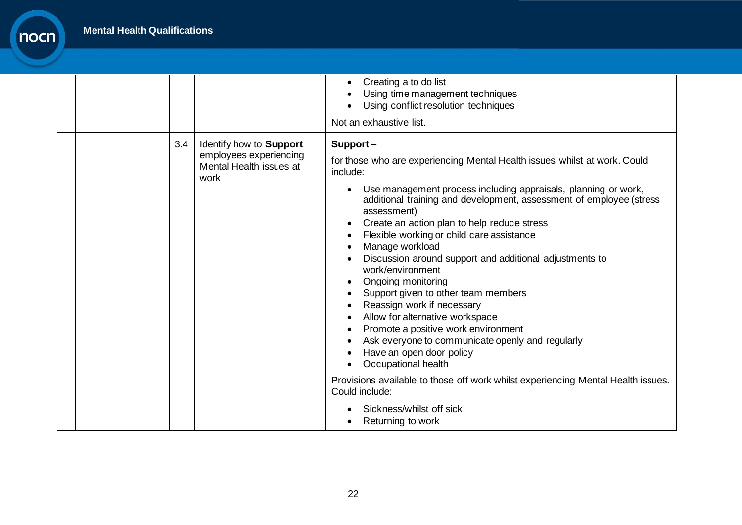|  |     |                                                                                      | Creating a to do list<br>$\bullet$<br>Using time management techniques<br>Using conflict resolution techniques<br>Not an exhaustive list.                                                                                                                                                                                                                                                                                                                                                                                                                                                                                                                                                                                                                                                                                                                                                                                                                   |
|--|-----|--------------------------------------------------------------------------------------|-------------------------------------------------------------------------------------------------------------------------------------------------------------------------------------------------------------------------------------------------------------------------------------------------------------------------------------------------------------------------------------------------------------------------------------------------------------------------------------------------------------------------------------------------------------------------------------------------------------------------------------------------------------------------------------------------------------------------------------------------------------------------------------------------------------------------------------------------------------------------------------------------------------------------------------------------------------|
|  | 3.4 | Identify how to Support<br>employees experiencing<br>Mental Health issues at<br>work | Support-<br>for those who are experiencing Mental Health issues whilst at work. Could<br>include:<br>Use management process including appraisals, planning or work,<br>$\bullet$<br>additional training and development, assessment of employee (stress<br>assessment)<br>Create an action plan to help reduce stress<br>$\bullet$<br>Flexible working or child care assistance<br>Manage workload<br>$\bullet$<br>Discussion around support and additional adjustments to<br>work/environment<br>Ongoing monitoring<br>$\bullet$<br>Support given to other team members<br>Reassign work if necessary<br>Allow for alternative workspace<br>Promote a positive work environment<br>$\bullet$<br>Ask everyone to communicate openly and regularly<br>Have an open door policy<br>Occupational health<br>Provisions available to those off work whilst experiencing Mental Health issues.<br>Could include:<br>Sickness/whilst off sick<br>Returning to work |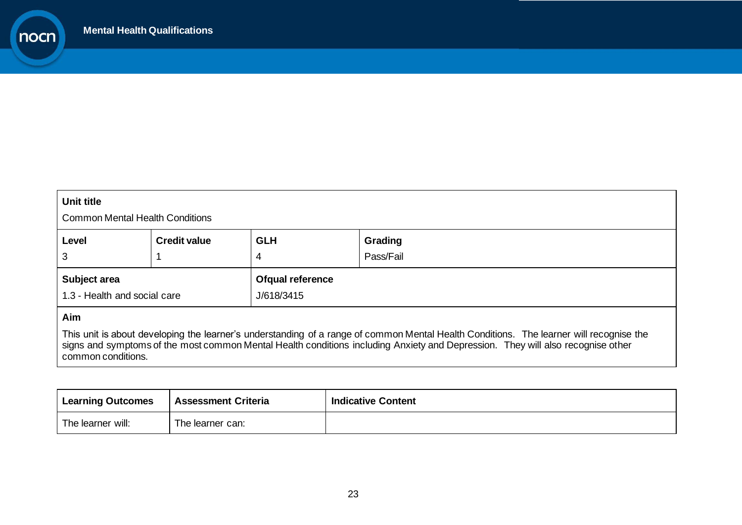nocn

| Unit title<br><b>Common Mental Health Conditions</b> |                                                                |                                |  |  |  |  |
|------------------------------------------------------|----------------------------------------------------------------|--------------------------------|--|--|--|--|
| Level<br>3                                           | <b>Credit value</b><br><b>GLH</b><br>Grading<br>Pass/Fail<br>4 |                                |  |  |  |  |
| Subject area<br>1.3 - Health and social care         |                                                                | Ofqual reference<br>J/618/3415 |  |  |  |  |
| Aim                                                  |                                                                |                                |  |  |  |  |

This unit is about developing the learner's understanding of a range of common Mental Health Conditions. The learner will recognise the signs and symptoms of the most common Mental Health conditions including Anxiety and Depression. They will also recognise other common conditions.

| <b>Learning Outcomes</b> | <b>Assessment Criteria</b> | <b>Indicative Content</b> |
|--------------------------|----------------------------|---------------------------|
| The learner will:        | The learner can:           |                           |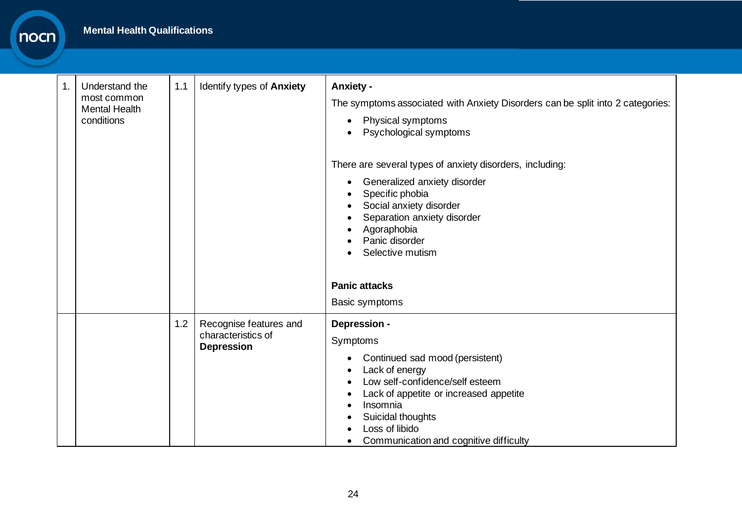| $\mathbf 1$ . | Understand the<br>most common<br><b>Mental Health</b><br>conditions | 1.1 | Identify types of Anxiety                                         | <b>Anxiety -</b><br>The symptoms associated with Anxiety Disorders can be split into 2 categories:<br>Physical symptoms<br>$\bullet$<br>Psychological symptoms                                                                                                                                 |
|---------------|---------------------------------------------------------------------|-----|-------------------------------------------------------------------|------------------------------------------------------------------------------------------------------------------------------------------------------------------------------------------------------------------------------------------------------------------------------------------------|
|               |                                                                     |     |                                                                   | There are several types of anxiety disorders, including:<br>Generalized anxiety disorder<br>$\bullet$<br>Specific phobia<br>Social anxiety disorder<br>$\bullet$<br>Separation anxiety disorder<br>Agoraphobia<br>Panic disorder<br>Selective mutism<br><b>Panic attacks</b>                   |
|               |                                                                     |     |                                                                   | Basic symptoms                                                                                                                                                                                                                                                                                 |
|               |                                                                     | 1.2 | Recognise features and<br>characteristics of<br><b>Depression</b> | Depression -<br>Symptoms<br>Continued sad mood (persistent)<br>$\bullet$<br>Lack of energy<br>$\bullet$<br>Low self-confidence/self esteem<br>Lack of appetite or increased appetite<br>$\bullet$<br>Insomnia<br>Suicidal thoughts<br>Loss of libido<br>Communication and cognitive difficulty |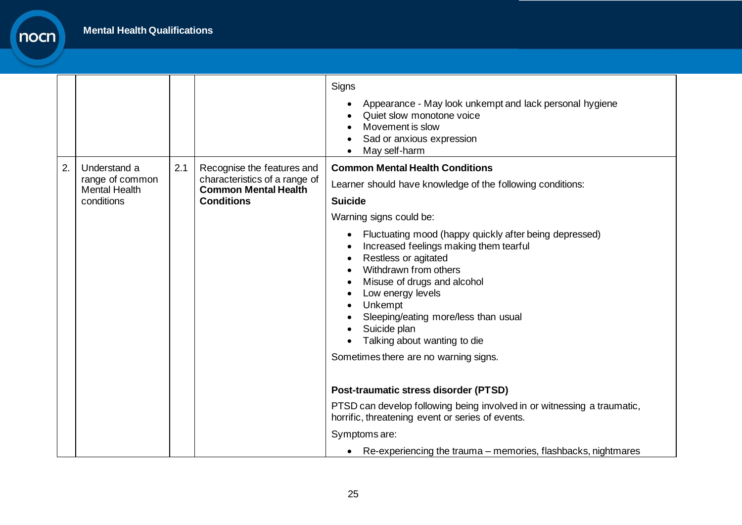nocn

|    |                                                                       |     |                                                                                                                 | Signs<br>Appearance - May look unkempt and lack personal hygiene<br>$\bullet$<br>Quiet slow monotone voice<br>Movement is slow<br>Sad or anxious expression                                                                                                                                                                                                                                                                                                                                                                                                                                           |
|----|-----------------------------------------------------------------------|-----|-----------------------------------------------------------------------------------------------------------------|-------------------------------------------------------------------------------------------------------------------------------------------------------------------------------------------------------------------------------------------------------------------------------------------------------------------------------------------------------------------------------------------------------------------------------------------------------------------------------------------------------------------------------------------------------------------------------------------------------|
| 2. | Understand a<br>range of common<br><b>Mental Health</b><br>conditions | 2.1 | Recognise the features and<br>characteristics of a range of<br><b>Common Mental Health</b><br><b>Conditions</b> | May self-harm<br>$\bullet$<br><b>Common Mental Health Conditions</b><br>Learner should have knowledge of the following conditions:<br><b>Suicide</b><br>Warning signs could be:<br>Fluctuating mood (happy quickly after being depressed)<br>$\bullet$<br>Increased feelings making them tearful<br>Restless or agitated<br>$\bullet$<br>Withdrawn from others<br>Misuse of drugs and alcohol<br>$\bullet$<br>Low energy levels<br>$\bullet$<br>Unkempt<br>$\bullet$<br>Sleeping/eating more/less than usual<br>Suicide plan<br>Talking about wanting to die<br>Sometimes there are no warning signs. |
|    |                                                                       |     |                                                                                                                 | Post-traumatic stress disorder (PTSD)                                                                                                                                                                                                                                                                                                                                                                                                                                                                                                                                                                 |
|    |                                                                       |     |                                                                                                                 | PTSD can develop following being involved in or witnessing a traumatic,<br>horrific, threatening event or series of events.                                                                                                                                                                                                                                                                                                                                                                                                                                                                           |
|    |                                                                       |     |                                                                                                                 | Symptoms are:                                                                                                                                                                                                                                                                                                                                                                                                                                                                                                                                                                                         |
|    |                                                                       |     |                                                                                                                 | Re-experiencing the trauma – memories, flashbacks, nightmares                                                                                                                                                                                                                                                                                                                                                                                                                                                                                                                                         |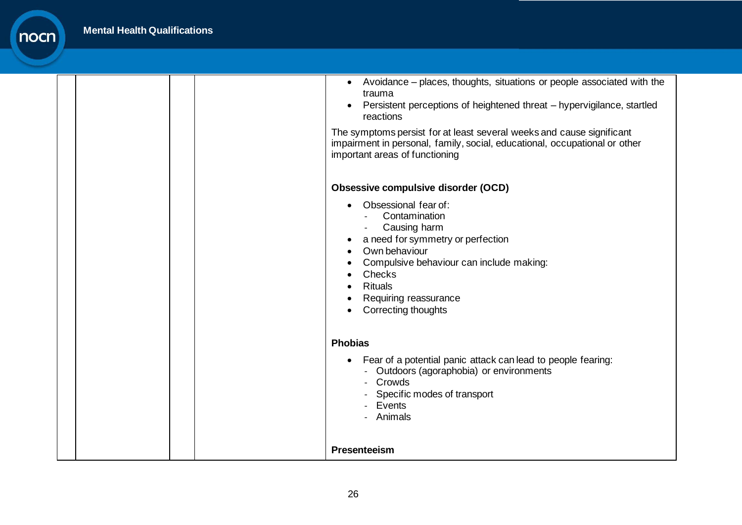|  | Avoidance – places, thoughts, situations or people associated with the<br>$\bullet$<br>trauma<br>Persistent perceptions of heightened threat - hypervigilance, startled<br>$\bullet$<br>reactions<br>The symptoms persist for at least several weeks and cause significant<br>impairment in personal, family, social, educational, occupational or other<br>important areas of functioning |
|--|--------------------------------------------------------------------------------------------------------------------------------------------------------------------------------------------------------------------------------------------------------------------------------------------------------------------------------------------------------------------------------------------|
|  | <b>Obsessive compulsive disorder (OCD)</b>                                                                                                                                                                                                                                                                                                                                                 |
|  | Obsessional fear of:<br>Contamination<br>Causing harm<br>a need for symmetry or perfection<br>Own behaviour<br>Compulsive behaviour can include making:<br>Checks<br>$\bullet$<br><b>Rituals</b><br>Requiring reassurance<br>Correcting thoughts<br>$\bullet$                                                                                                                              |
|  | <b>Phobias</b>                                                                                                                                                                                                                                                                                                                                                                             |
|  | Fear of a potential panic attack can lead to people fearing:<br>$\bullet$<br>- Outdoors (agoraphobia) or environments<br>- Crowds<br>- Specific modes of transport<br>- Events<br>Animals                                                                                                                                                                                                  |
|  | Presenteeism                                                                                                                                                                                                                                                                                                                                                                               |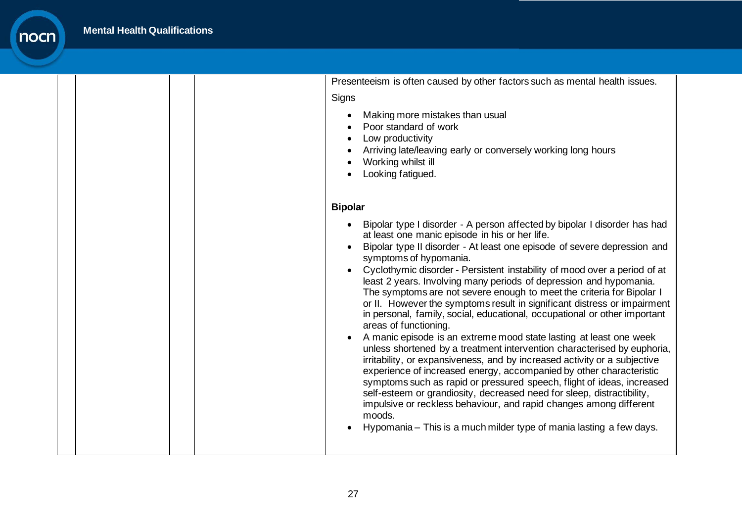|  | Presenteeism is often caused by other factors such as mental health issues.                                                                                                                                                                                                                                                                                                                                                                                                                                                                                                                                                                                                                                                                                                                                                                                                                                                                                                                                                                                                                                                                                                                                                                                                               |
|--|-------------------------------------------------------------------------------------------------------------------------------------------------------------------------------------------------------------------------------------------------------------------------------------------------------------------------------------------------------------------------------------------------------------------------------------------------------------------------------------------------------------------------------------------------------------------------------------------------------------------------------------------------------------------------------------------------------------------------------------------------------------------------------------------------------------------------------------------------------------------------------------------------------------------------------------------------------------------------------------------------------------------------------------------------------------------------------------------------------------------------------------------------------------------------------------------------------------------------------------------------------------------------------------------|
|  | Signs                                                                                                                                                                                                                                                                                                                                                                                                                                                                                                                                                                                                                                                                                                                                                                                                                                                                                                                                                                                                                                                                                                                                                                                                                                                                                     |
|  | Making more mistakes than usual<br>$\bullet$<br>Poor standard of work<br>Low productivity<br>Arriving late/leaving early or conversely working long hours<br>Working whilst ill<br>Looking fatigued.                                                                                                                                                                                                                                                                                                                                                                                                                                                                                                                                                                                                                                                                                                                                                                                                                                                                                                                                                                                                                                                                                      |
|  | <b>Bipolar</b>                                                                                                                                                                                                                                                                                                                                                                                                                                                                                                                                                                                                                                                                                                                                                                                                                                                                                                                                                                                                                                                                                                                                                                                                                                                                            |
|  | Bipolar type I disorder - A person affected by bipolar I disorder has had<br>$\bullet$<br>at least one manic episode in his or her life.<br>Bipolar type II disorder - At least one episode of severe depression and<br>symptoms of hypomania.<br>Cyclothymic disorder - Persistent instability of mood over a period of at<br>least 2 years. Involving many periods of depression and hypomania.<br>The symptoms are not severe enough to meet the criteria for Bipolar I<br>or II. However the symptoms result in significant distress or impairment<br>in personal, family, social, educational, occupational or other important<br>areas of functioning.<br>A manic episode is an extreme mood state lasting at least one week<br>unless shortened by a treatment intervention characterised by euphoria,<br>irritability, or expansiveness, and by increased activity or a subjective<br>experience of increased energy, accompanied by other characteristic<br>symptoms such as rapid or pressured speech, flight of ideas, increased<br>self-esteem or grandiosity, decreased need for sleep, distractibility,<br>impulsive or reckless behaviour, and rapid changes among different<br>moods.<br>Hypomania – This is a much milder type of mania lasting a few days.<br>$\bullet$ |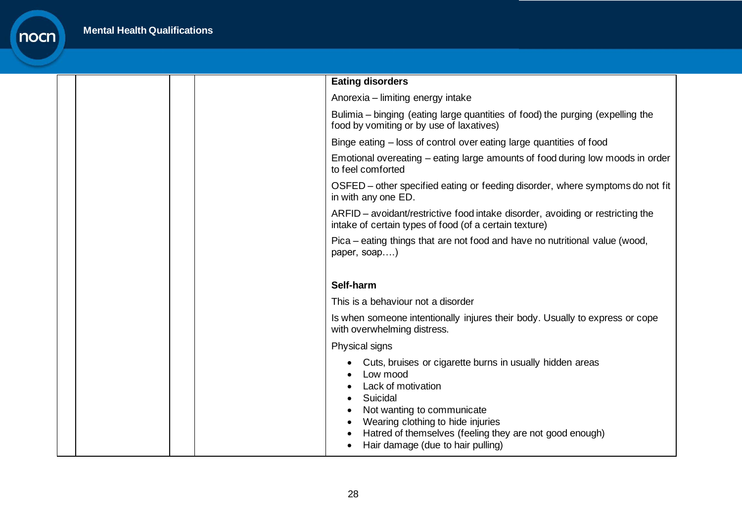|  | <b>Eating disorders</b>                                                                                                                                                                                                                                                   |
|--|---------------------------------------------------------------------------------------------------------------------------------------------------------------------------------------------------------------------------------------------------------------------------|
|  | Anorexia - limiting energy intake                                                                                                                                                                                                                                         |
|  | Bulimia – binging (eating large quantities of food) the purging (expelling the<br>food by vomiting or by use of laxatives)                                                                                                                                                |
|  | Binge eating – loss of control over eating large quantities of food                                                                                                                                                                                                       |
|  | Emotional overeating – eating large amounts of food during low moods in order<br>to feel comforted                                                                                                                                                                        |
|  | OSFED – other specified eating or feeding disorder, where symptoms do not fit<br>in with any one ED.                                                                                                                                                                      |
|  | ARFID – avoidant/restrictive food intake disorder, avoiding or restricting the<br>intake of certain types of food (of a certain texture)                                                                                                                                  |
|  | Pica – eating things that are not food and have no nutritional value (wood,<br>paper, soap)                                                                                                                                                                               |
|  |                                                                                                                                                                                                                                                                           |
|  | Self-harm                                                                                                                                                                                                                                                                 |
|  | This is a behaviour not a disorder                                                                                                                                                                                                                                        |
|  | Is when someone intentionally injures their body. Usually to express or cope<br>with overwhelming distress.                                                                                                                                                               |
|  | Physical signs                                                                                                                                                                                                                                                            |
|  | Cuts, bruises or cigarette burns in usually hidden areas<br>Low mood<br>Lack of motivation<br>Suicidal<br>Not wanting to communicate<br>Wearing clothing to hide injuries<br>Hatred of themselves (feeling they are not good enough)<br>Hair damage (due to hair pulling) |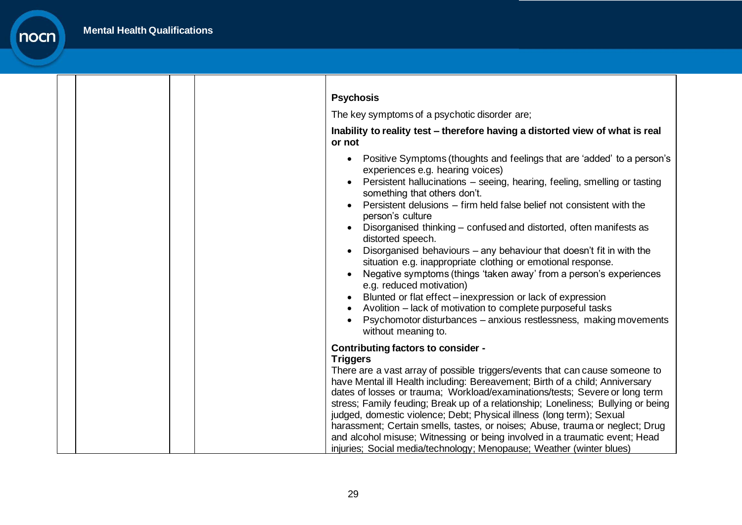─

┑

nocn

┓

| <b>Psychosis</b>                                                                                                                                                                                                                                                                                                                                                                                                                                                                                                                                                                                                                                                                                                                                                                                                                                                                                  |
|---------------------------------------------------------------------------------------------------------------------------------------------------------------------------------------------------------------------------------------------------------------------------------------------------------------------------------------------------------------------------------------------------------------------------------------------------------------------------------------------------------------------------------------------------------------------------------------------------------------------------------------------------------------------------------------------------------------------------------------------------------------------------------------------------------------------------------------------------------------------------------------------------|
| The key symptoms of a psychotic disorder are;                                                                                                                                                                                                                                                                                                                                                                                                                                                                                                                                                                                                                                                                                                                                                                                                                                                     |
| Inability to reality test – therefore having a distorted view of what is real<br>or not                                                                                                                                                                                                                                                                                                                                                                                                                                                                                                                                                                                                                                                                                                                                                                                                           |
| Positive Symptoms (thoughts and feelings that are 'added' to a person's<br>$\bullet$<br>experiences e.g. hearing voices)<br>Persistent hallucinations - seeing, hearing, feeling, smelling or tasting<br>something that others don't.<br>Persistent delusions – firm held false belief not consistent with the<br>person's culture<br>Disorganised thinking – confused and distorted, often manifests as<br>distorted speech.<br>Disorganised behaviours – any behaviour that doesn't fit in with the<br>situation e.g. inappropriate clothing or emotional response.<br>Negative symptoms (things 'taken away' from a person's experiences<br>e.g. reduced motivation)<br>Blunted or flat effect - inexpression or lack of expression<br>Avolition – lack of motivation to complete purposeful tasks<br>Psychomotor disturbances – anxious restlessness, making movements<br>without meaning to. |
| <b>Contributing factors to consider -</b><br><b>Triggers</b><br>There are a vast array of possible triggers/events that can cause someone to<br>have Mental ill Health including: Bereavement; Birth of a child; Anniversary<br>dates of losses or trauma; Workload/examinations/tests; Severe or long term<br>stress; Family feuding; Break up of a relationship; Loneliness; Bullying or being<br>judged, domestic violence; Debt; Physical illness (long term); Sexual<br>harassment; Certain smells, tastes, or noises; Abuse, trauma or neglect; Drug<br>and alcohol misuse; Witnessing or being involved in a traumatic event; Head<br>injuries; Social media/technology; Menopause; Weather (winter blues)                                                                                                                                                                                 |

┐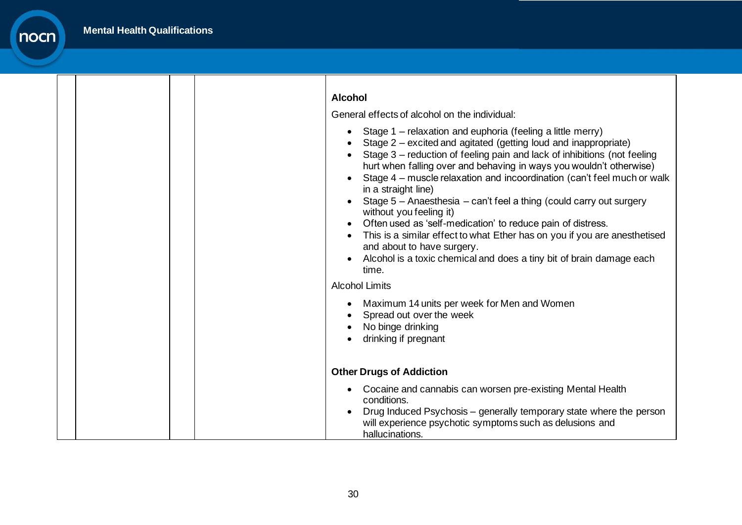|  | <b>Alcohol</b><br>General effects of alcohol on the individual:<br>Stage 1 – relaxation and euphoria (feeling a little merry)<br>$\bullet$<br>Stage 2 – excited and agitated (getting loud and inappropriate)<br>Stage 3 - reduction of feeling pain and lack of inhibitions (not feeling<br>hurt when falling over and behaving in ways you wouldn't otherwise)<br>Stage 4 - muscle relaxation and incoordination (can't feel much or walk<br>in a straight line)<br>Stage 5 - Anaesthesia - can't feel a thing (could carry out surgery<br>without you feeling it)<br>Often used as 'self-medication' to reduce pain of distress.<br>This is a similar effect to what Ether has on you if you are anesthetised<br>and about to have surgery.<br>Alcohol is a toxic chemical and does a tiny bit of brain damage each<br>time. |
|--|---------------------------------------------------------------------------------------------------------------------------------------------------------------------------------------------------------------------------------------------------------------------------------------------------------------------------------------------------------------------------------------------------------------------------------------------------------------------------------------------------------------------------------------------------------------------------------------------------------------------------------------------------------------------------------------------------------------------------------------------------------------------------------------------------------------------------------|
|  | <b>Alcohol Limits</b><br>Maximum 14 units per week for Men and Women<br>Spread out over the week<br>No binge drinking<br>drinking if pregnant                                                                                                                                                                                                                                                                                                                                                                                                                                                                                                                                                                                                                                                                                   |
|  | <b>Other Drugs of Addiction</b><br>Cocaine and cannabis can worsen pre-existing Mental Health<br>$\bullet$<br>conditions.<br>Drug Induced Psychosis - generally temporary state where the person<br>will experience psychotic symptoms such as delusions and<br>hallucinations.                                                                                                                                                                                                                                                                                                                                                                                                                                                                                                                                                 |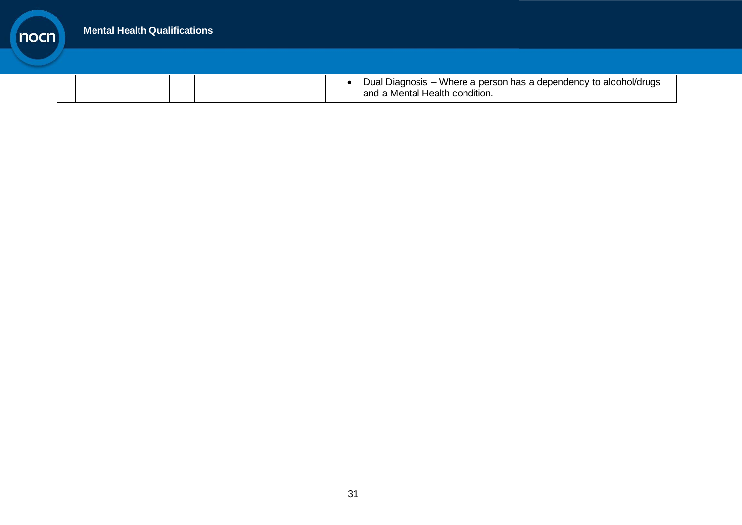